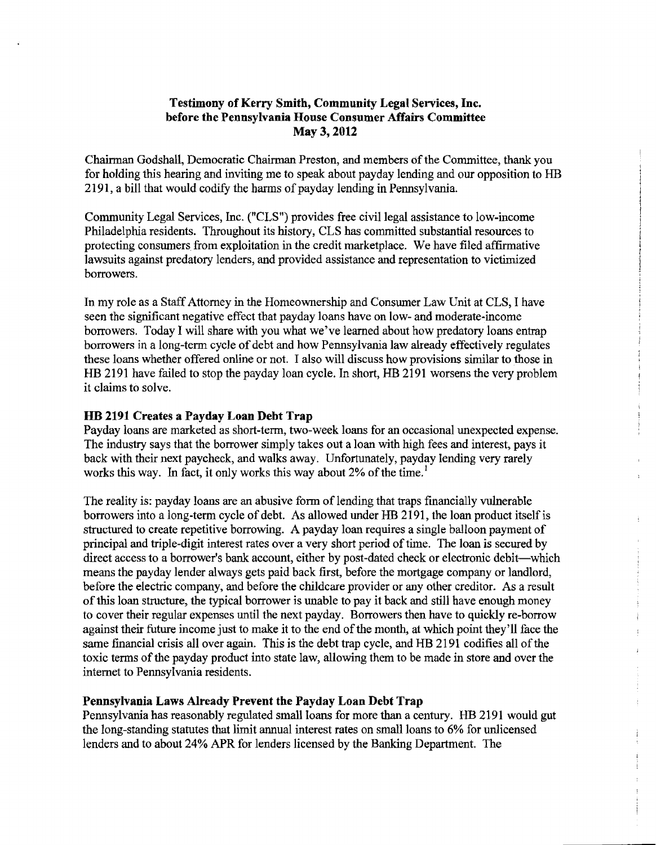# **Testimony of Kerry Smith, Community Legal Services, Inc. before the Pennsylvania House Consumer Affairs Committee May 3,2012**

Chairman Godshall, Democratic Chairman Preston, and members of the Committee, thank you for holding this hearing and inviting me to speak about payday lending and our opposition to HB 2191, a bill that would codify the harms of payday lending in Pennsylvania.

Community Legal Services, Inc. ("CLS") provides free civil legal assistance to low-income Philadelphia residents. Throughout its history, CLS has committed substantial resources to protecting consumers from exploitation in the credit marketplace. We have filed dfirrnative lawsuits against predatory lenders, and provided assistance and representation to victimized borrowers.

In my role as a Staff Attorney in the Homeownership and Consumer Law Unit at CLS, I have seen the significant negative effect that payday loans have on low- and moderate-income borrowers. Today I will share with you what we've learned about how predatory loans entrap borrowers in a long-term cycle of debt and how Pennsylvania law already effectively regulates these loans whether offered online or not. I also will discuss how provisions similar to those in HB 2191 have failed to stop the payday loan cycle. In short, HB 2191 worsens the very problem it claims to solve.

# **HB 2191 Creates a Payday Loan Debt Trap**

Payday loans are marketed as short-term, two-week loans for an occasional unexpected expense. The industry says that the borrower simply takes out a loan with high fees and interest, pays it back with their next paycheck, and walks away. Unfortunately, payday lending very rarely works this way. In fact, it only works this way about 2% of the time.'

The reality is: payday loans are an abusive form of lending that traps financially vulnerable borrowers into a long-term cycle of debt. As allowed under HB 2 191, the loan product itself is structured to create repetitive borrowing. A payday loan requires a single balloon payment of principal and triple-digit interest rates over a very short period of time. The loan is secured by direct access to a borrower's bank account, either by post-dated check or electronic debit-which means the payday lender always gets paid back first, before the mortgage company or landlord, before the electric company, and before the childcare provider or any other creditor. As a result of **this** loan structure, the typical borrower is unable to pay it back and still have enough money to cover their regular expenses until the next payday. Borrowers then have to quickly re-borrow against their future income just to make it to the end of the month, at which point they'll face the same financial crisis all over again. This is the debt trap cycle, and HB 2191 codifies all of the toxic terms of the payday product into state law, allowing them to be made in store and over the internet to Pennsylvania residents.

### **Pennsylvania Laws Already Prevent the Payday Loan Debt Trap**

Pennsylvania has reasonably regulated small loans for more than a century. HB 2191 would gut the long-standing statutes that limit annual interest rates on small loans to 6% for unlicensed lenders and to about 24% APR for lenders licensed by the Banking Department. The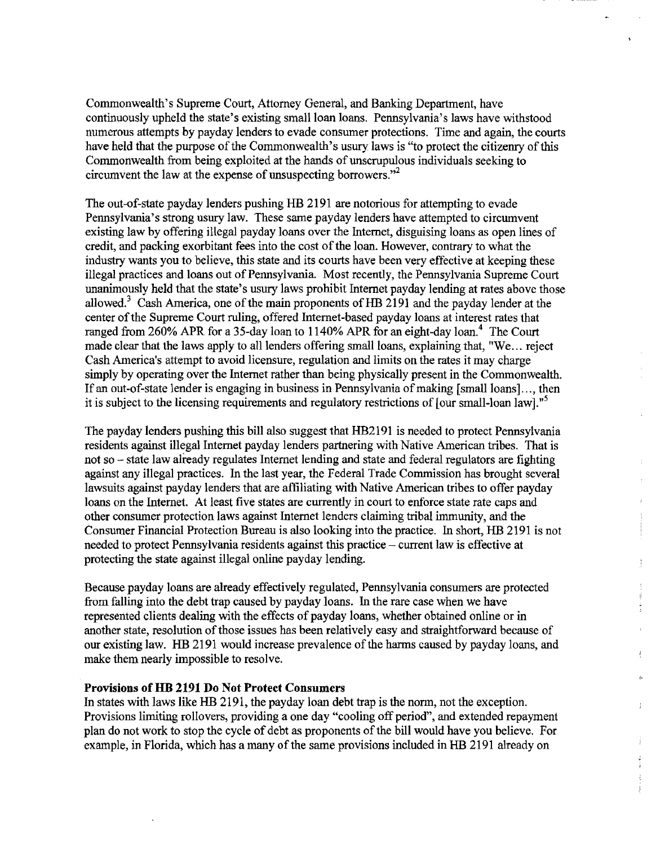Commonwealth's Supreme Court, Attorney General, and Banking Department, have continuously upheld the state's existing small loan loans. Pennsylvania's laws have withstood numerous attempts by payday lenders to evade consumer protections. Time and again, the courts have held that the purpose of the Commonwealth's usury laws is "to protect the citizenry of this Commonwealth fiom being exploited at the hands of unscrupulous individuals seeking to circumvent the law at the expense of unsuspecting borrowers."<sup>2</sup>

The out-of-state payday lenders pushing HB 2 191 are notorious for attempting to evade Pennsylvania's strong usury law. These same payday lenders have attempted to circumvent existing law by offering illegal payday loans over the Internet, disguising loans as open lines of credit, and packing exorbitant fees into the cost of the loan. However, contrary to what the industry wants you to believe, this state and its courts have been very effective at keeping these illegal practices and loans out of Pennsylvania. Most recently, the Pennsylvania Supreme Court unanimously held that the state's usury laws prohibit Internet payday lending at rates above those allowed.<sup>3</sup> Cash America, one of the main proponents of HB 2191 and the payday lender at the center of the Supreme Court ruling, offered Internet-based payday loans at interest rates that ranged from 260% APR for a 35-day loan to 1140% APR for an eight-day loan.<sup>4</sup> The Court made clear that the laws apply to all lenders offering small loans, explaining that, "We.. . reject Cash America's attempt to avoid licensure, regulation and limits on the rates it may charge simply by operating over the Internet rather than being physically present in the Commonwealth. If an out-of-state lender is engaging in business in Pennsylvania of making [small loans]. . ., then it is subject to the licensing requirements and regulatory restrictions of [our small-loan law]."5

The payday lenders pushing this bill also suggest that HB2191 is needed to protect Pennsylvania residents against illegal Internet payday lenders partnering with Native American tribes. 'hat is not so – state law already regulates Internet lending and state and federal regulators are fighting against any illegal practices. In the last year, the Federal Trade Commission has brought several lawsuits against payday lenders that are affiliating with Native American tribes to offer payday loans on the Internet. At least five states are currently in court to enforce state rate caps and other consumer protection laws against Internet lenders claiming tribal immunity, and the Consumer Financial Protection Bureau is also looking into the practice. In short, HE 2191 is not needed to protect Pennsylvania residents against this practice - current law is effective at protecting the state against illegal online payday lending.

Because payday loans **are** already effectively regulated, Pennsylvania consumers are protected fiom falling into the debt trap caused by payday loans. In the rare case when we have represented clients dealing with the effects of payday loans, whether obtained online or in another state, resolution of those issues has been relatively easy and straightforward because of our existing law. HI3 2191 would increase prevalence of the harms caused by payday loans, and make them nearly impossible to resolve.

÷.

Î.

### **Provisions of HB 2191 Do Not Protect Consumers**

In states with laws like **HB** 2191, the payday loan debt trap is the norm, not the exception. Provisions limiting rollovers, providing a one day "cooling off period", and extended repayment plan do not work to stop the cycle of debt as proponents of the bill would have you believe. For example, in Florida, which has a many of the same provisions included in HB 2191 already on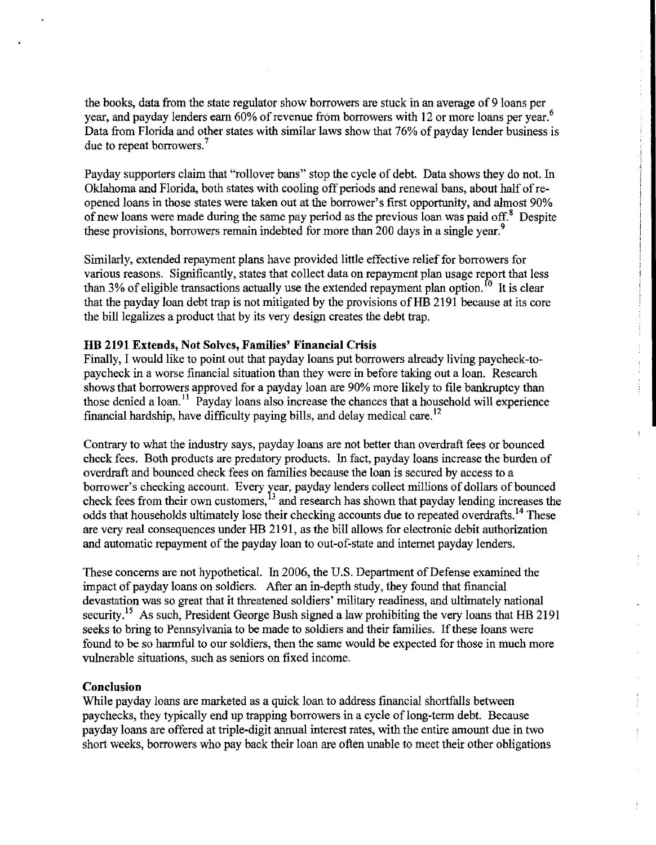the books, data from the state regulator show borrowers are stuck in an average of 9 loans per year, and payday lenders earn 60% of revenue from borrowers with 12 or more loans per year.<sup>6</sup> Data from Florida and other states with similar laws show that 76% of payday lender business is due to repeat borrowers.<sup>7</sup>

Payday supporters claim that "rollover bans" stop the cycle of debt. Data shows they do not. In Oklahoma and Florida, both states with cooling off periods and renewal bans, about half of reopened loans in those states were taken out at the borrower's first opportunity, and almost 90% of new loans were made during the same pay period as the previous loan was paid off.<sup>8</sup> Despite these provisions, borrowers remain indebted for more than 200 days in a single year.<sup>9</sup>

Similarly, extended repayment plans have provided little effective relief for borrowers for various reasons. Significantly, states that collect data on repayment plan usage report that less than 3% of eligible transactions actually use the extended repayment plan option.<sup>10</sup> It is clear that the payday loan debt trap is not mitigated by the provisions of **HB** 2191 because at its core the bill legalizes a product that by its very design creates the debt trap.

### **HB 2191 Extends, Not Solves, Families' Financial Crisis**

Finally, **I** would like to point out that payday loans put borrowers already living paycheck-topaycheck in a worse financial situation than they were in before taking out a loan. Research shows that borrowers approved for a payday loan are 90% more likely to file bankruptcy than those denied a loan.'' Payday loans also increase the chances that a household will experience financial hardship, have difficulty paying bills, and delay medical care.<sup>12</sup>

Contrary to what the industry says, payday loans are not better than overdraft fees or bounced check fees. Both products are predatory products. In fact, payday loans increase the burden of overdraft and bounced check fees on families because the loan is secured by access to a borrower's checking account. Every year, payday lenders collect millions of dollars of bounced check fees from their own customers.<sup>13</sup> and research has shown that payday lending increases the odds that households ultimately lose their checking accounts due to repeated overdrafts.<sup>14</sup> These are very real consequences under HB 2191, as the bill allows for electronic debit authorization and automatic repayment of the payday loan to out-of-state and internet payday lenders.

These concerns are not hypothetical. In 2006, the U.S. Department of Defense examined the impact of payday loans on soldiers. After an in-depth study, they found that financial devastation was so great that it threatened soldiers' military readiness, and ultimately national security.<sup>15</sup> As such, President George Bush signed a law prohibiting the very loans that HB 2191 seeks to bring to Pennsylvania to be made to soldiers and their families. If these loans were found to be so harmful to our soldiers, then the same would be expected for those in much more vulnerable situations, such as seniors on fixed income.

# **Conclusion**

While payday loans are marketed as a quick loan to address financial shortfalls between paychecks, they typically end up trapping borrowers in a cycle of long-term debt. Because payday loans are offered at triple-digit annual interest rates, with the entire amount due in two short weeks, borrowers who pay back their loan are often unable to meet their other obligations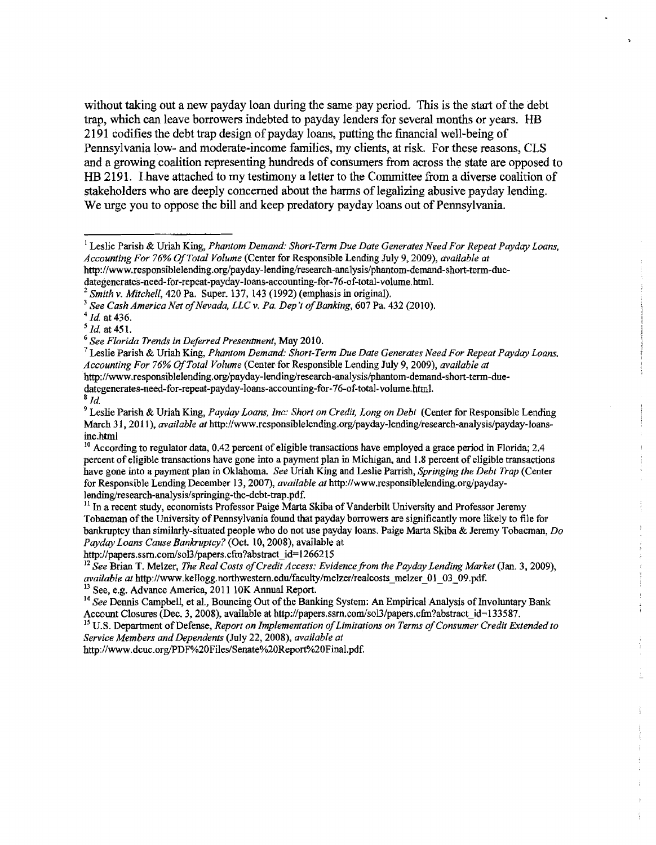without taking out a new payday loan during the same pay period. This is the start of the debt trap, which can leave borrowers indebted to payday lenders for several months or years. HB 2 191 codifies the debt trap design of payday loans, putting the financial well-being of Pennsylvania low- and moderate-income families, my clients, at risk. For these reasons, CLS and a growing coalition representing hundreds of consumers fiom across the state are opposed to HB 2191. I have attached to my testimony a letter to the Committee fiom a diverse coalition of stakeholders who are deeply concerned about the harms of legalizing abusive payday lending. We urge you to oppose the bill and keep predatory payday loans out of Pennsylvania.

**dategenerates-need-for-repeat-payday-loans-accounting-for-76-of-total-volume.** html.

http://papers.ssrn.com/sol3/papers.cfm?abstract\_id=1266215

http://www.dcuc.org/PDF%20Files/Senate%20Report%20Final.pdf.

 $^1$  Leslie Parish & Uriah King, *Phantom Demand: Short-Term Due Date Generates Need For Repeat Payday Loans. Accounting For 76% Of Total Volume* (Center for Responsible Lending July 9,2009), *available at*  http://www.responsiblelending.org/payday-lending/research-analysis/phantom-demand-short-term-duc-

dategenerates-need-for-repeat-payday-loans-accounting-for-76-of-total-volume.html.

*Smith* **v.** *Mitchell,* 420 *Pa.* Super. 137, 143 (1992) (emphasis in original).

<sup>&</sup>lt;sup>3</sup> See Cash America Net of Nevada, LLC v. Pa. Dep't of Banking, 607 Pa. 432 (2010).

*Id* at 436.

<sup>&</sup>lt;sup>5</sup> *Id.* at 451.<br><sup>6</sup> See Florida Trends in Deferred Presentment, May 2010.

<sup>&</sup>lt;sup>7</sup> Leslie Parish & Uriah King, *Phantom Demand: Short-Term Due Date Generates Need For Repeat Payday Loans, Accounting For 76% Of Total Volume* (Center *for* Responsible Lending July 9,2009), *available at*  http://www.responsiblelending.org/payday-lending/research-analysis/phantom-demand-short-term-due-

 $\frac{8}{d}$ .

<sup>&</sup>lt;sup>9</sup> Leslie Parish & Uriah King, *Pavday Loans, Inc: Short on Credit, Long on Debt* (Center for Responsible Lending March 31, 2011), *available at http://www.responsiblelending.org/payday-lending/research-analysis/payday-loans*inc-html

**lo** According to regulator data, 0.42 percent of eligible transactions have employed a grace perjod in Florida; 2.4 percent of eligible transactions have gone into a payment plan in Michigan, and 1.8 percent of eligible transactions have gone into a payment plan in Oklahoma. *See* Uriah King *and* Leslie Panish, *Sprrnging the Debt Trap* (Center for Responsible Lending December 13, 2007), *available at* http://www.responsiblelending.org/paydaylending/research-analysis/springing-the-debt-trap.pdf.

 $<sup>11</sup>$  In a recent study, economists Professor Paige Marta Skiba of Vanderbilt University and Professor Jeremy</sup> 'Sobacman of the University of Pennsylvania found that payday borrowers are significantly more likely to file for bankruptcy than similarly-situated people who do not use payday loans. Paige Marta Skiba & Jeremy Tobacman, *Do*  Payday Loans Cause Bankruptcy? (Oct. 10, 2008), available at

<sup>&</sup>lt;sup>12</sup> See Brian T. Melzer, *The Real Costs of Credit Access: Evidence from the Payday Lending Market (Jan. 3, 2009), available at* http://www.kellogg.northwestern.edu/faculty/melzer/realcosts\_melzer\_01\_03\_09.pdf. <sup>13</sup> See, e.g. Advance America, 2011 10K Annual Report.

**l4** *See* Dennis Campbell, *et* **al.,** Bouncing Out of the Banking System: An Empirical Analysis of Involuntary Bank Account Closures (Dec. 3, 2008), available at http://papers.ssm.com/sol3/papers.cfm?abstract\_id=133587.

<sup>&</sup>lt;sup>15</sup> U.S. Department of Defense, *Report on Implementation of Limitations on Terms of Consumer Credit Extended to Service Members and Dependents* (July 22,2008), *available at*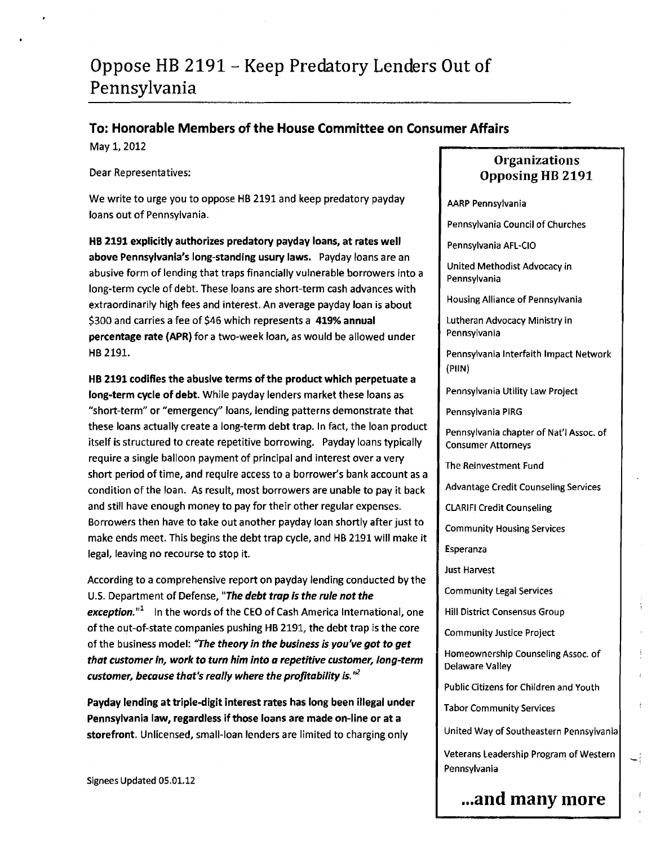# Oppose HB 2191 - Keep Predatory Lenders Out of Pennsylvania

# **To: Honorable Members of the House Committee on Consumer Affairs**

May 1, 2012

Dear Representatives:

We write to urge you to oppose HB 2191 and keep predatory payday loans out of Pennsylvania.

**HE** 2191 explicitly authorizes predatory payday loans, at rates well above Pennsylvania's long-standing usury laws. Payday loans are an abusive form of lending that traps financially vulnerable borrowers into a long-term cycle of debt. These loans are short-term cash advances with extraordinarily high **fees** and interest. An average payday loan is about \$300 and carries a fee of \$46 which represents a 419% annual percentage rate (APR) for a two-week loan, as would be allowed under HB 2191.

HB 2191 codifies the abusive terms of the product which perpetuate a long-term cycle of debt. While payday lenders market these loans as "short-term" or "emergency" loans, lending patterns demonstrate that these loans actually create a long-term debt trap. In fact, the loan product itself is structured to create repetitive borrowing. Payday loans typically require a single balloon payment of principal and interest over a very short period of time, and require access to a borrower's bank account as a condition of the loan. As result, most borrowers are unable to pay it back and still have enough money to pay for their other regular expenses. Borrowers then have to take out another payday loan shortly after just to make ends meet. This begins the debt trap cycle, and HB 2191 will make it legal, leaving no recourse to stop it.

According to a comprehensive report on payday lending conducted by the U.S. Department of Defense, **"The debt trap is the rule not the exception."'** In the words of the CEO of Cash America International, one of the out-of-state companies pushing **HB** 2191, the debt trap is the core of the business model: **"The theory In the business is you've got to get**  that customer in, work to turn him into a repetitive customer, long-term customer, because that's really where the profitability is.<sup>12</sup>

Payday lending at triple-digit interest rates has long been illegal under Pennsylvania law, regardless if those loans are made on-line or at a storefront. Unlicensed, small-loan lenders are limited to charging only

Signees Updated 05.01.12

# **Organizations Opposing HB 2191**

### AARP Pennsylvania

Pennsylvania Council of Churches

Pennsylvania AFL-CIO

United Methodist Advocacy in Pennsylvania

Housing Alliance of Pennsylvania

Lutheran Advocacy Ministry in Pennsylvania

Pennsylvania Interfaith Impact Network  $(PIIN)$ 

Pennsylvania Utility Law Project

Pennsylvania PlRG

Pennsylvania chapter of Nat'l Assoc. of Consumer Attorneys

The Reinvestment Fund

Advantage Credit Counseling Services

CLARlFl Credit Counseling

Community Housing Services

Esperanza

**Just Harvest** 

Community Legal Services

Hill District Consensus Group

Community Justice Project

Homeownership Counseling Assoc. of **Delaware Valley** 

Public Citizens for Children and Youth

Tabor Community Services

United Way of Southeastern Pennsylvania

Veterans Leadership Program of Western Pennsylvania

# ...and many more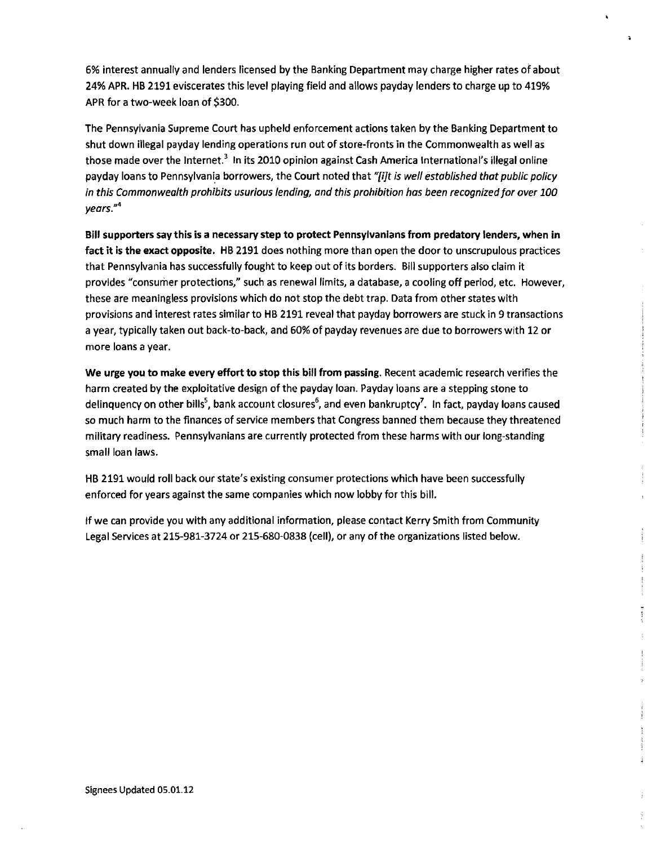6% interest annualty and lenders licensed by the Banking Department may charge higher rates of about 24% APR. HB 2191 eviscerates this level playing field and allows payday lenders to charge up to 419% APR for a two-week loan of \$300.

The Pennsylvania Supreme Court has upheld enforcement actions taken by the Banking Department to shut down illegal payday lending operations run out of store-fronts in the Commonwealth as well as those made over the Internet.<sup>3</sup> In its 2010 opinion against Cash America International's illegal online payday loans to Pennsylvania borrowers, the Court noted that **'yqt is well established that public policy in this Commonwealth prohibits usurious lending, and this prohibition has been recognizedfor over 100 years."4** 

Bill supporters say this **is** a necessary step to protect Pennsylvanians from predatory lenders, when in fact it is the exact opposite. HB 2191 does nothing more than open the door to unscrupulous practices that Pennsylvania has successfully fought to keep out of its borders. Bill supporters also claim it provides "consumer protections," such as renewal limits, a database, a cooling off period, etc. However, these are meaningless provisions which do not stop the debt trap. Data from other states with provisions and interest rates similar to HB 2191 reveal that payday borrowers are stuck in 9 transactions a year, typically taken out back-to-back, and 60% of payday revenues are due to borrowers with 12 or more loans a year.

We urge you to make every effort to stop this bill from passing, Recent academic research verifies the harm created by the exploitative design of the payday loan. Payday loans are a stepping stone to delinquency on other bills<sup>5</sup>, bank account closures<sup>6</sup>, and even bankruptcy<sup>7</sup>. In fact, payday loans caused so much harm to the finances of service members that Congress banned them because they threatened military readiness. Pennsylvanians are currently protected from these harms with our long-standing small loan laws.

HB 2191 would roll back our state's existing consumer protections which have been successfully enforced for years against the same companies which now lobby for this bill.

If we can provide you with any additional information, please contact Kerry Smith from Community Legal Services at 215-981-3724 or 215-680-0838 (cell), or any of the organizations listed below.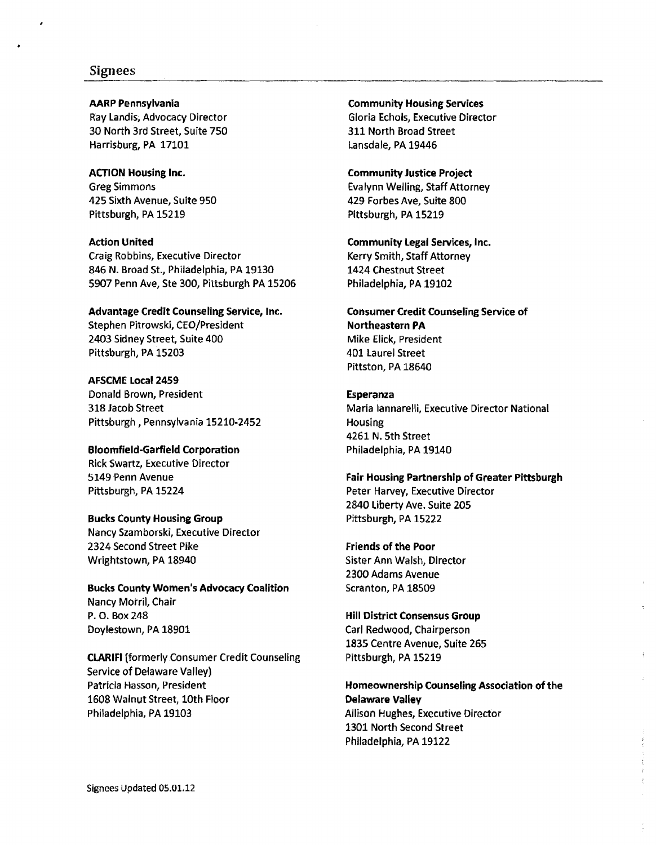# **Signees**

### **AARP Pennsylvania**

Ray Landis, Advocacy Director 30 North 3rd Street, Suite 750 Harrisburg, PA 17101

### **AtTlON Housing Inc.**

Greg Simmons 425 Sixth Avenue, Suite 950 Pittsburgh, PA 15219

#### **Action United**

Craig Robbins, Executive Director 846 N. Broad St., Philadelphia, PA 19130 5907 Penn Ave, Ste 300, Pittsburgh PA 15206

### **Advantage Credit Counseling Service, Inc.**

Stephen Pitrowski, CEO/President 2403 Sidney Street, Suite 400 Pittsburgh, PA 15203

## **AFSCME Local 2459**  Donald Brown, President 318 Jacob Street Pittsburgh, Pennsylvania 15210-2452

**Bloomfield-Garfield Corporation**  Rick Swartz, Executive Director 5149 Penn Avenue Pittsburgh, PA 15224

### **Bucks County Housing Group**

Nancy Szamborski, Executive Director 2324 Second Street Pike Wrightstown, PA 18940

# **Bucks County Women's Advocacy Coalition**  Nancy Morril, Chair P. **0.** Box 248 Doylestown, PA 18901

**CLARlFl** (formerly Consumer Credit Counseling Service of Delaware Valley) Patricia Hasson, President 1608 Walnut Street, 10th Floor Philadelphia, PA 19103

### **Community Housing Services**  Gloria Echols, Executive Director 311 North Broad Street Lansdale, PA 19446

#### **Community Justice Project**

Evalynn Welling, Staff Attorney 429 Forbes Ave, Suite 800 Pittsburgh, PA 15219

**Community Legal Services, Inc.**  Kerry Smith, Staff Attorney 1424 Chestnut Street Philadelphia, PA 19102

# **Consumer Credit Counseling Service of Northeastern PA**  Mike Elick, President 401 Laurel Street Pittston, PA 18640

### **Esperanza**

Maria lannarelli, Executive Director National Housing 4261 N. 5th Street Philadelphia, PA 19140

# **Fair Housing Partnership of Greater Pittsburgh**  Peter Harvey, Executive Director

2840 Liberty Ave. Suite 205 Pittsburgh, PA 15222

### **Friends of the Poor**

Sister Ann Walsh, Director 2300 Adams Avenue Scranton, PA 18509

### **Hill District Consensus Group Carl** Redwood, Chairperson 1835 Centre Avenue, Suite 265

Pittsburgh, PA 15219

# **Homeownership Counseling Association of the Delaware Valley**  Allison Hughes, Executive Director 1301 North Second Street Philadelphia, PA 19122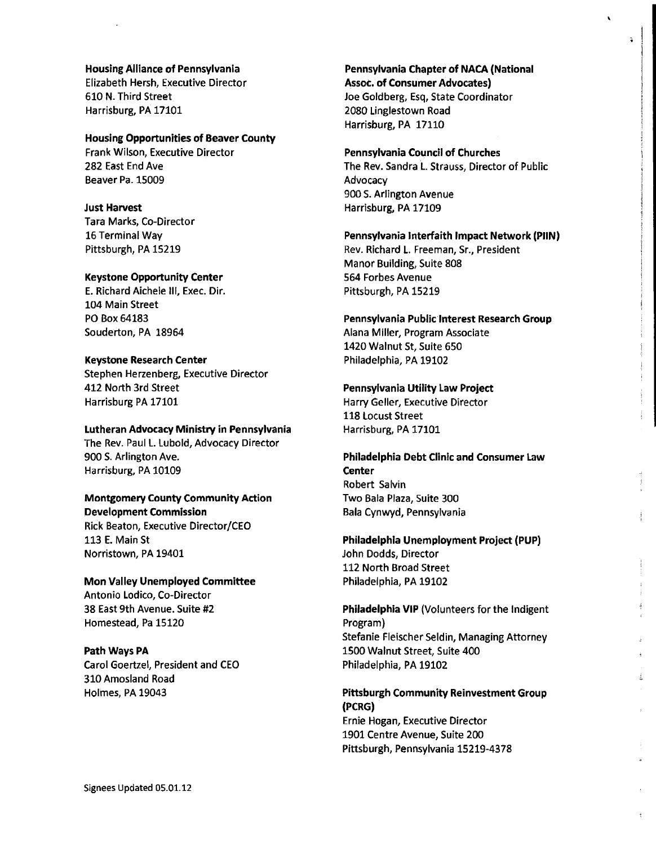Housing Alliance of Pennsylvania Elizabeth Hersh, Executive Director 610 N. Third Street Harrisburg, PA 17101

#### Housing Opportunities of Beaver County

Frank Wilson, Executive Director 282 East End Ave Beaver Pa. 15009

#### Just Harvest

Tara Marks, Co-Director 16 Terminal Way Pittsburgh, PA 15219

#### Keystone Opportunity Center

E. Richard Aichele Ill, Exec, Dir. 104 Main Street PO Box 64183 Souderton, PA 18964

### Keystone Research Center

Stephen Herzenberg, Executive Director 412 North 3rd Street Harrisburg PA 17101

### Lutheran Advocacy Ministry in Pennsylvania

The Rev. Paul L. Lubold, Advocacy Director 900 S. Arlington Ave. Harrisburg, PA 10109

### Montgomery County Community Action Development Commission

Rick Beaton, Executive Director/CEO 113 E. Main St Norristown, PA 19401

Mon Valley Unemployed Committee Antonio Lodico, Co-Director 38 East 9th Avenue. Suite **#2**  Homestead, Pa 15120

### Path Ways PA

Carol Goertzel, President and CEO 310 Amosland Road Holmes, PA 19043

Pennsylvania Chapter of NACA (National Assot. of Consumer Advocates) Joe Goldberg, Esq, State Coordinator 2080 Linglestown Road Harrisburg, PA 17110

 $\cdot$ 

ä.

### Pennsylvania Council of Churches

The Rev. Sandra L. Strauss, Director of Public **Advocacy** 900 S. Arlington Avenue Harrisburg, PA 17109

### Pennsylvania interfaith Impact Network (PIIN) Rev. Richard L. Freeman, Sr., President Manor Building, Suite 808

564 Forbes Avenue Pittsburgh, PA 15219

### Pennsylvania Public Interest Research Group Alana Miller, Program Associate 1420 Walnut St, Suite 650

Philadelphia, PA 19102

# Pennsylvania Utility Law Project

Harry Geller, Executive Director 118 Locust Street Harrisburg, PA 17101

# Philadelphia Debt Clinic and Consumer Law **Center** Robert Salvin Two Bala Plaza, Suite 300 Bala Cynwyd, Pennsylvania

# Philadelphia Unemployment Project (PUP) John Dodds, Director 112 North Broad Street Philadelphia, PA 19102

Philadelphia VIP (Volunteers for the Indigent Program) Stefanie Fleischer Seldin, Managing Attorney 1500 Walnut Street, Suite 400 Philadelphia, PA 19102

# Pittsburgh Community Reinvestment Group (PCRG) Ernie Hogan, Executive Director 1901 Centre Avenue, Suite 200 Pittsburgh, Pennsylvania 15219-4378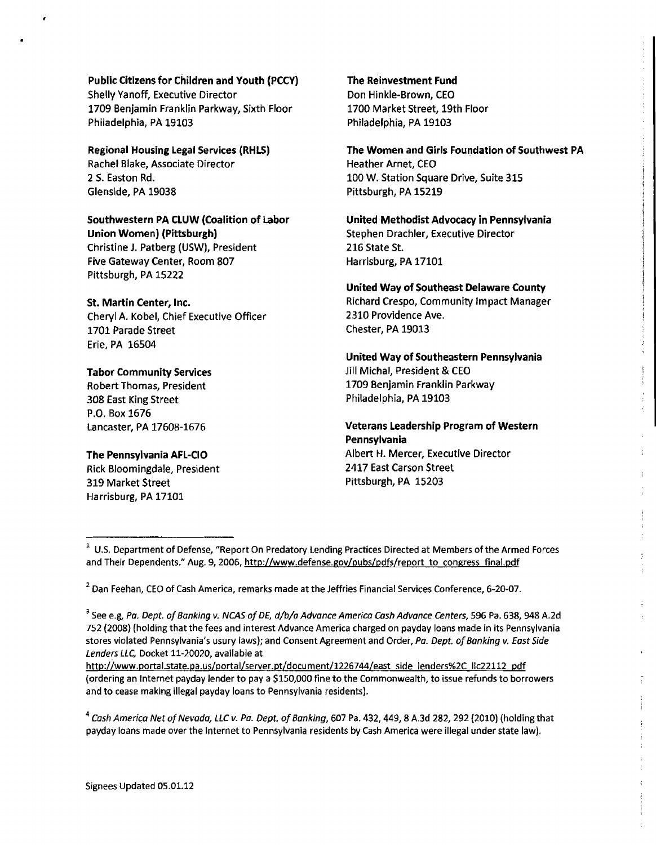### Public Citizens for Children and Youth (PCCY)

Shelly Yanoff, Executive Director **1709** Benjamin Franklin Parkway, Sixth Floor Philadelphia, PA **19103** 

### Regional Housing Legal Services **(RHLS)**

Rachel Blake, Associate Director 2 5. Easton Rd. Glenside, PA **19038** 

# Southwestern PA CLUW (Coalition of Labor

Union Women) (Pittsburgh) Christine J. Patberg (USW), President Five Gateway Center, Room **807**  Pittsburgh, PA **15222** 

### St. Martin Center, lnc.

Cheryl A. Kobel, Chief Executive Officer **1701** Parade Street Erie, PA **16504** 

# Tabor Community Services

Robert Thomas, President 308 East King Street P.O. Box **1676**  Lancaster, PA **17608-1676** 

# The Pennsylvania AFL-CIO

Rick Bloomingdale, President **319** Market Street Harrisburg, PA **17101** 

### The Reinvestment Fund

Don Hinkle-Brown, CEO **1700** Market Street, 19th Floor Philadelphia, PA **19103** 

# The Women and Girls Foundation of Southwest PA Heather Arnet, CEO

**100** W. Station Square Drive, Suite 315 Pittsburgh, PA **15219** 

United Methodist Advocacy in Pennsylvania Stephen Drachler, Executive Director 216 State St. Harrisburg, PA **17101** 

# United Way of Southeast Delaware County Richard Crespo, Community Impact Manager 2310 Providence Ave. Chester, PA **19013**

# United Way of Southeastern Pennsylvania .lill Michal, President & CEO **1709** Benjamin Franklin Parkway Philadelphia, PA **19103**

Veterans Leadership Program of Western Pennsylvania Albert **H.** Mercer, Executive Director **2417** East Carson Street Pittsburgh, PA **15203** 

http://www.portal.state.pa.us/portal/server.pt/document/1226744/east side lenders%2C llc22112 pdf (ordering an lnternet payday lender to pay **a** \$150,000 fine to the Commonwealth, to issue refunds to borrowers and to cease making illegal payday loans to Pennsylvania residents).

<sup>&</sup>lt;sup>1</sup> U.S. Department of Defense, "Report On Predatory Lending Practices Directed at Members of the Armed Forces and Their Dependents." Aug. 9, 2006, http://www.defense.gov/pubs/pdfs/report to congress final.pdf

**<sup>2</sup>**Dan Feehan, CEO of Cash America, remarks made at the Jeffries Financial Services Conference, 6-20-07.

<sup>&</sup>lt;sup>3</sup> See e.g, Pa. Dept. of Banking v. NCAS of DE, d/b/a Advance America Cash Advance Centers, 596 Pa. 638, 948 A.2d 752 (2008) (holding that the fees and interest Advance America charged on payday loans made in its Pennsylvania stores violated Pennsylvania's usury laws); and Consent Agreement and Order, **Pa. Dept of Banking v. East Side Lenders LLC,** Docket 11-20020, available at

**<sup>4</sup>Cash America Net of Nevada, LLC v. Pa. Dept. of Banking,** 607 Pa. 432,449,8 A.3d 282,292 (2010) (holding that payday loans made over the lnternet to Pennsylvania residents by Cash America were illegal under state law).